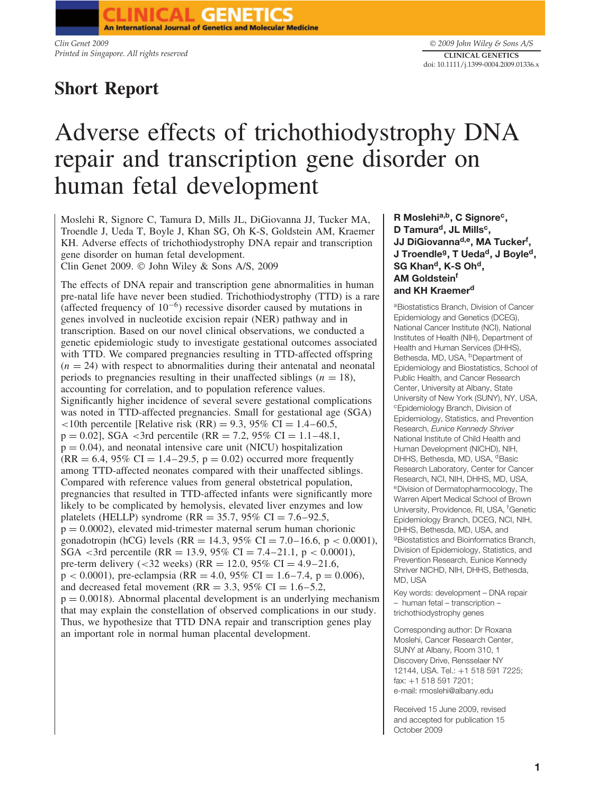*Clin Genet 2009 Printed in Singapore. All rights reserved*

## **Short Report**

# Adverse effects of trichothiodystrophy DNA repair and transcription gene disorder on human fetal development

Moslehi R, Signore C, Tamura D, Mills JL, DiGiovanna JJ, Tucker MA, Troendle J, Ueda T, Boyle J, Khan SG, Oh K-S, Goldstein AM, Kraemer KH. Adverse effects of trichothiodystrophy DNA repair and transcription gene disorder on human fetal development.

NICAL GENETICS An International Journal of Genetics and Molecular Medicine

Clin Genet 2009. © John Wiley & Sons A/S, 2009

The effects of DNA repair and transcription gene abnormalities in human pre-natal life have never been studied. Trichothiodystrophy (TTD) is a rare (affected frequency of  $10^{-6}$ ) recessive disorder caused by mutations in genes involved in nucleotide excision repair (NER) pathway and in transcription. Based on our novel clinical observations, we conducted a genetic epidemiologic study to investigate gestational outcomes associated with TTD. We compared pregnancies resulting in TTD-affected offspring  $(n = 24)$  with respect to abnormalities during their antenatal and neonatal periods to pregnancies resulting in their unaffected siblings  $(n = 18)$ , accounting for correlation, and to population reference values. Significantly higher incidence of several severe gestational complications was noted in TTD-affected pregnancies. Small for gestational age (SGA)  $\langle$  <10th percentile [Relative risk (RR) = 9.3, 95% CI = 1.4–60.5, p = 0*.*02], SGA *<*3rd percentile (RR = 7*.*2, 95% CI = 1*.*1–48.1,  $p = 0.04$ ), and neonatal intensive care unit (NICU) hospitalization  $(RR = 6.4, 95\% \text{ CI} = 1.4 - 29.5, p = 0.02)$  occurred more frequently among TTD-affected neonates compared with their unaffected siblings. Compared with reference values from general obstetrical population, pregnancies that resulted in TTD-affected infants were significantly more likely to be complicated by hemolysis, elevated liver enzymes and low platelets (HELLP) syndrome (RR = 35*.*7, 95% CI = 7*.*6–92.5,  $p = 0.0002$ , elevated mid-trimester maternal serum human chorionic gonadotropin (hCG) levels (RR = 14*.*3, 95% CI = 7*.*0–16.6, p *<* 0.0001), SGA *<*3rd percentile (RR = 13*.*9, 95% CI = 7*.*4–21.1, p *<* 0.0001), pre-term delivery (*<*32 weeks) (RR = 12*.*0, 95% CI = 4*.*9–21.6, p *<* 0.0001), pre-eclampsia (RR = 4*.*0, 95% CI = 1*.*6–7.4, p = 0*.*006), and decreased fetal movement ( $RR = 3.3$ ,  $95\%$  CI = 1.6–5.2,  $p = 0.0018$ ). Abnormal placental development is an underlying mechanism that may explain the constellation of observed complications in our study. Thus, we hypothesize that TTD DNA repair and transcription genes play an important role in normal human placental development.

**R Moslehia,b, C Signorec, D Tamura<sup>d</sup>, JL Mills<sup>c</sup>, JJ DiGiovannad,e, MA Tuckerf ,** J Troendle<sup>g</sup>, T Ueda<sup>d</sup>, J Boyle<sup>d</sup>, **SG Khand, K-S Ohd, AM Goldstein<sup>f</sup> and KH Kraemerd**

aBiostatistics Branch, Division of Cancer Epidemiology and Genetics (DCEG), National Cancer Institute (NCI), National Institutes of Health (NIH), Department of Health and Human Services (DHHS), Bethesda, MD, USA, <sup>b</sup>Department of Epidemiology and Biostatistics, School of Public Health, and Cancer Research Center, University at Albany, State University of New York (SUNY), NY, USA, cEpidemiology Branch, Division of Epidemiology, Statistics, and Prevention Research, *Eunice Kennedy Shriver* National Institute of Child Health and Human Development (NICHD), NIH, DHHS, Bethesda, MD, USA, <sup>d</sup>Basic Research Laboratory, Center for Cancer Research, NCI, NIH, DHHS, MD, USA, eDivision of Dermatopharmocology, The Warren Alpert Medical School of Brown University, Providence, RI, USA, <sup>f</sup>Genetic Epidemiology Branch, DCEG, NCI, NIH, DHHS, Bethesda, MD, USA, and <sup>g</sup>Biostatistics and Bioinformatics Branch, Division of Epidemiology, Statistics, and Prevention Research, Eunice Kennedy Shriver NICHD, NIH, DHHS, Bethesda, MD, USA

Key words: development – DNA repair – human fetal – transcription – trichothiodystrophy genes

Corresponding author: Dr Roxana Moslehi, Cancer Research Center, SUNY at Albany, Room 310, 1 Discovery Drive, Rensselaer NY 12144, USA. Tel.: +1 518 591 7225; fax: +1 518 591 7201; e-mail: rmoslehi@albany.edu

Received 15 June 2009, revised and accepted for publication 15 October 2009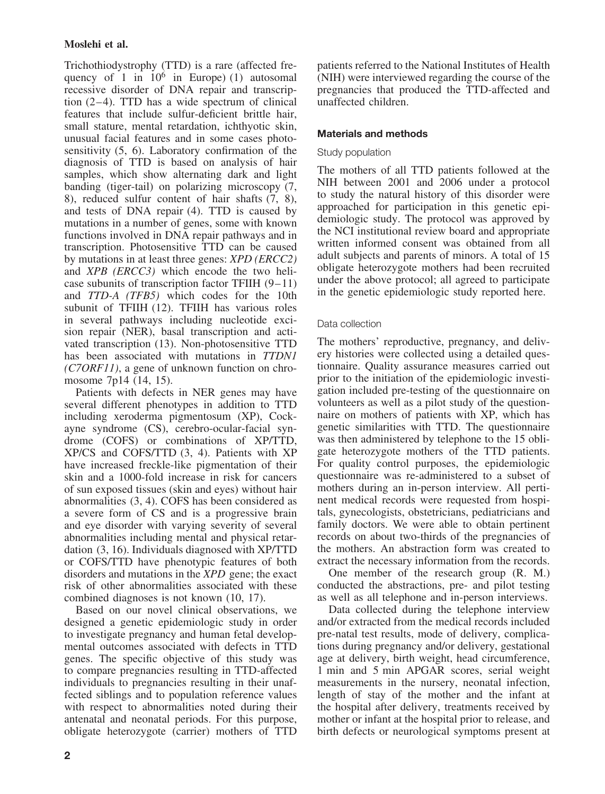Trichothiodystrophy (TTD) is a rare (affected frequency of 1 in  $10^6$  in Europe) (1) autosomal recessive disorder of DNA repair and transcription (2–4). TTD has a wide spectrum of clinical features that include sulfur-deficient brittle hair, small stature, mental retardation, ichthyotic skin, unusual facial features and in some cases photosensitivity (5, 6). Laboratory confirmation of the diagnosis of TTD is based on analysis of hair samples, which show alternating dark and light banding (tiger-tail) on polarizing microscopy (7, 8), reduced sulfur content of hair shafts (7, 8), and tests of DNA repair (4). TTD is caused by mutations in a number of genes, some with known functions involved in DNA repair pathways and in transcription. Photosensitive TTD can be caused by mutations in at least three genes: *XPD (ERCC2)* and *XPB (ERCC3)* which encode the two helicase subunits of transcription factor TFIIH  $(9-11)$ and *TTD-A (TFB5)* which codes for the 10th subunit of TFIIH (12). TFIIH has various roles in several pathways including nucleotide excision repair (NER), basal transcription and activated transcription (13). Non-photosensitive TTD has been associated with mutations in *TTDN1 (C7ORF11)*, a gene of unknown function on chromosome 7p14 (14, 15).

Patients with defects in NER genes may have several different phenotypes in addition to TTD including xeroderma pigmentosum (XP), Cockayne syndrome (CS), cerebro-ocular-facial syndrome (COFS) or combinations of XP/TTD, XP/CS and COFS/TTD (3, 4). Patients with XP have increased freckle-like pigmentation of their skin and a 1000-fold increase in risk for cancers of sun exposed tissues (skin and eyes) without hair abnormalities (3, 4). COFS has been considered as a severe form of CS and is a progressive brain and eye disorder with varying severity of several abnormalities including mental and physical retardation (3, 16). Individuals diagnosed with XP/TTD or COFS/TTD have phenotypic features of both disorders and mutations in the *XPD* gene; the exact risk of other abnormalities associated with these combined diagnoses is not known (10, 17).

Based on our novel clinical observations, we designed a genetic epidemiologic study in order to investigate pregnancy and human fetal developmental outcomes associated with defects in TTD genes. The specific objective of this study was to compare pregnancies resulting in TTD-affected individuals to pregnancies resulting in their unaffected siblings and to population reference values with respect to abnormalities noted during their antenatal and neonatal periods. For this purpose, obligate heterozygote (carrier) mothers of TTD

patients referred to the National Institutes of Health (NIH) were interviewed regarding the course of the pregnancies that produced the TTD-affected and unaffected children.

## **Materials and methods**

## Study population

The mothers of all TTD patients followed at the NIH between 2001 and 2006 under a protocol to study the natural history of this disorder were approached for participation in this genetic epidemiologic study. The protocol was approved by the NCI institutional review board and appropriate written informed consent was obtained from all adult subjects and parents of minors. A total of 15 obligate heterozygote mothers had been recruited under the above protocol; all agreed to participate in the genetic epidemiologic study reported here.

## Data collection

The mothers' reproductive, pregnancy, and delivery histories were collected using a detailed questionnaire. Quality assurance measures carried out prior to the initiation of the epidemiologic investigation included pre-testing of the questionnaire on volunteers as well as a pilot study of the questionnaire on mothers of patients with XP, which has genetic similarities with TTD. The questionnaire was then administered by telephone to the 15 obligate heterozygote mothers of the TTD patients. For quality control purposes, the epidemiologic questionnaire was re-administered to a subset of mothers during an in-person interview. All pertinent medical records were requested from hospitals, gynecologists, obstetricians, pediatricians and family doctors. We were able to obtain pertinent records on about two-thirds of the pregnancies of the mothers. An abstraction form was created to extract the necessary information from the records.

One member of the research group (R. M.) conducted the abstractions, pre- and pilot testing as well as all telephone and in-person interviews.

Data collected during the telephone interview and/or extracted from the medical records included pre-natal test results, mode of delivery, complications during pregnancy and/or delivery, gestational age at delivery, birth weight, head circumference, 1 min and 5 min APGAR scores, serial weight measurements in the nursery, neonatal infection, length of stay of the mother and the infant at the hospital after delivery, treatments received by mother or infant at the hospital prior to release, and birth defects or neurological symptoms present at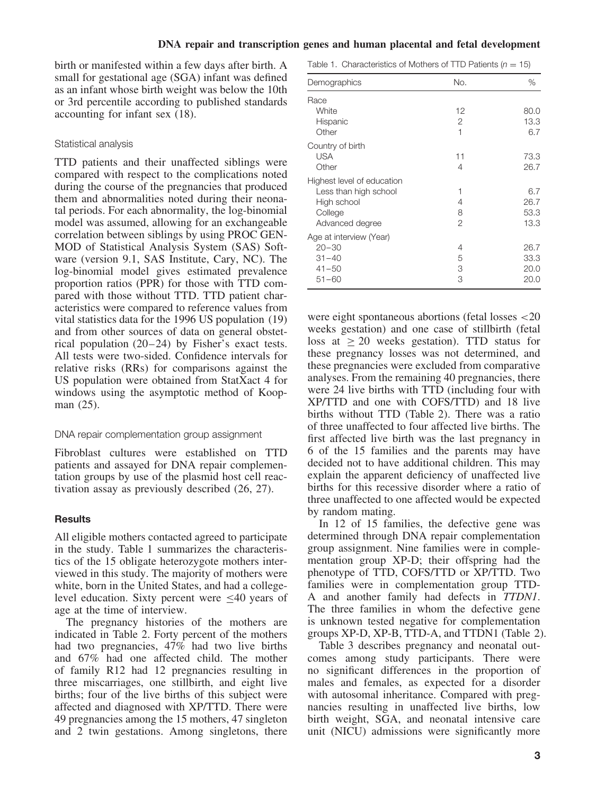birth or manifested within a few days after birth. A small for gestational age (SGA) infant was defined as an infant whose birth weight was below the 10th or 3rd percentile according to published standards accounting for infant sex (18).

## Statistical analysis

TTD patients and their unaffected siblings were compared with respect to the complications noted during the course of the pregnancies that produced them and abnormalities noted during their neonatal periods. For each abnormality, the log-binomial model was assumed, allowing for an exchangeable correlation between siblings by using PROC GEN-MOD of Statistical Analysis System (SAS) Software (version 9.1, SAS Institute, Cary, NC). The log-binomial model gives estimated prevalence proportion ratios (PPR) for those with TTD compared with those without TTD. TTD patient characteristics were compared to reference values from vital statistics data for the 1996 US population (19) and from other sources of data on general obstetrical population (20–24) by Fisher's exact tests. All tests were two-sided. Confidence intervals for relative risks (RRs) for comparisons against the US population were obtained from StatXact 4 for windows using the asymptotic method of Koopman (25).

## DNA repair complementation group assignment

Fibroblast cultures were established on TTD patients and assayed for DNA repair complementation groups by use of the plasmid host cell reactivation assay as previously described (26, 27).

## **Results**

All eligible mothers contacted agreed to participate in the study. Table 1 summarizes the characteristics of the 15 obligate heterozygote mothers interviewed in this study. The majority of mothers were white, born in the United States, and had a collegelevel education. Sixty percent were  $\leq 40$  years of age at the time of interview.

The pregnancy histories of the mothers are indicated in Table 2. Forty percent of the mothers had two pregnancies,  $47\%$  had two live births and 67% had one affected child. The mother of family R12 had 12 pregnancies resulting in three miscarriages, one stillbirth, and eight live births; four of the live births of this subject were affected and diagnosed with XP/TTD. There were 49 pregnancies among the 15 mothers, 47 singleton and 2 twin gestations. Among singletons, there

| Table 1. Characteristics of Mothers of TTD Patients ( $n = 15$ ) |  |
|------------------------------------------------------------------|--|
|------------------------------------------------------------------|--|

|                            | . <b>. . .</b> |      |
|----------------------------|----------------|------|
| Demographics               | No.            | $\%$ |
| Race                       |                |      |
| White                      | 12             | 80.0 |
| Hispanic                   | 2              | 13.3 |
| Other                      | 1              | 6.7  |
| Country of birth           |                |      |
| <b>USA</b>                 | 11             | 73.3 |
| Other                      | 4              | 26.7 |
| Highest level of education |                |      |
| Less than high school      | 1              | 6.7  |
| High school                | 4              | 26.7 |
| College                    | 8              | 53.3 |
| Advanced degree            | 2              | 13.3 |
| Age at interview (Year)    |                |      |
| $20 - 30$                  | 4              | 26.7 |
| $31 - 40$                  | 5              | 33.3 |
| $41 - 50$                  | 3              | 20.0 |
| $51 - 60$                  | 3              | 20.0 |

were eight spontaneous abortions (fetal losses *<*20 weeks gestation) and one case of stillbirth (fetal loss at  $\geq 20$  weeks gestation). TTD status for these pregnancy losses was not determined, and these pregnancies were excluded from comparative analyses. From the remaining 40 pregnancies, there were 24 live births with TTD (including four with XP/TTD and one with COFS/TTD) and 18 live births without TTD (Table 2). There was a ratio of three unaffected to four affected live births. The first affected live birth was the last pregnancy in 6 of the 15 families and the parents may have decided not to have additional children. This may explain the apparent deficiency of unaffected live births for this recessive disorder where a ratio of three unaffected to one affected would be expected by random mating.

In 12 of 15 families, the defective gene was determined through DNA repair complementation group assignment. Nine families were in complementation group XP-D; their offspring had the phenotype of TTD, COFS/TTD or XP/TTD. Two families were in complementation group TTD-A and another family had defects in *TTDN1*. The three families in whom the defective gene is unknown tested negative for complementation groups XP-D, XP-B, TTD-A, and TTDN1 (Table 2).

Table 3 describes pregnancy and neonatal outcomes among study participants. There were no significant differences in the proportion of males and females, as expected for a disorder with autosomal inheritance. Compared with pregnancies resulting in unaffected live births, low birth weight, SGA, and neonatal intensive care unit (NICU) admissions were significantly more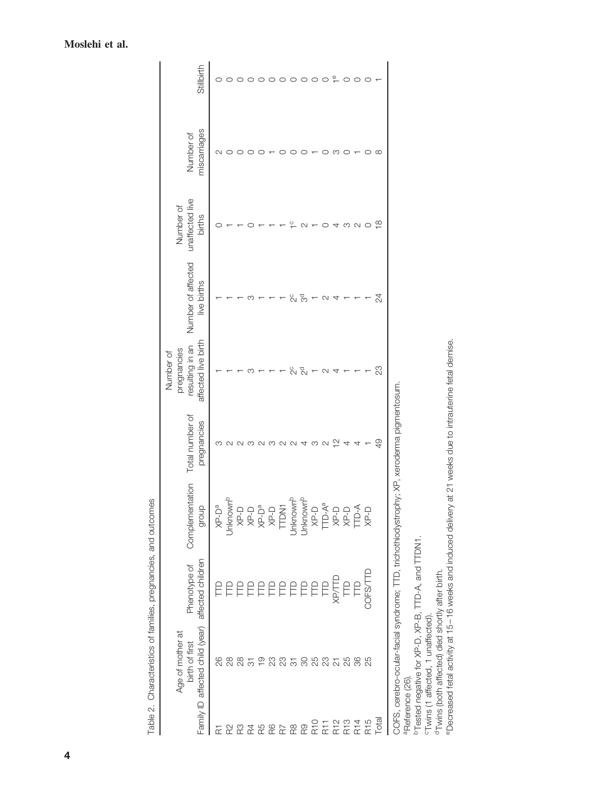|                                                                           | Age of mother at                                                                           |                 |                                                                                                                     |               | pregnancies<br>Number of               |                                   | Number of                 |                           |            |
|---------------------------------------------------------------------------|--------------------------------------------------------------------------------------------|-----------------|---------------------------------------------------------------------------------------------------------------------|---------------|----------------------------------------|-----------------------------------|---------------------------|---------------------------|------------|
|                                                                           | Family ID affected child (year) affected children<br>birth of first                        |                 | Phenotype of Complementation Total number of<br>윽<br>gior                                                           | pregnancies   | affected live birth<br>resulting in an | Number of affected<br>live births | unaffected live<br>births | miscarriages<br>Number of | Stillbirth |
| $\overline{\widetilde{K}}$                                                | 26                                                                                         | Ê               | $XP-D^a$                                                                                                            | ო             |                                        |                                   |                           |                           |            |
|                                                                           | 28                                                                                         |                 | Jnknownb                                                                                                            |               |                                        |                                   |                           |                           |            |
|                                                                           |                                                                                            |                 | 모-0<br>서우 아이<br>서우 아이<br>서우 아이                                                                                      |               |                                        |                                   |                           |                           |            |
|                                                                           | $\frac{8}{3}$                                                                              |                 |                                                                                                                     |               |                                        |                                   |                           |                           |            |
| R5                                                                        |                                                                                            |                 |                                                                                                                     |               |                                        |                                   |                           |                           |            |
| R6                                                                        |                                                                                            |                 |                                                                                                                     |               |                                        |                                   |                           |                           |            |
|                                                                           |                                                                                            |                 |                                                                                                                     | C<br>J        |                                        |                                   |                           |                           |            |
|                                                                           |                                                                                            |                 |                                                                                                                     | $\mathcal{C}$ | å                                      |                                   |                           |                           |            |
| $\stackrel{\sim}{\cong} \stackrel{\infty}{\cong} \stackrel{\circ}{\cong}$ | 1033505375                                                                                 |                 | URKOWN <sup>D</sup><br>URKOWN <sup>D</sup><br>URKOWND X R-D<br>URK X X R-D<br>URK X X R-D<br>URK X X R-D<br>URKOWND | 4             | g<br>Q                                 |                                   |                           |                           |            |
|                                                                           |                                                                                            |                 |                                                                                                                     | S             |                                        |                                   |                           |                           |            |
|                                                                           |                                                                                            |                 |                                                                                                                     | J             |                                        |                                   |                           |                           |            |
|                                                                           |                                                                                            |                 |                                                                                                                     | 으             |                                        |                                   |                           |                           | $\circ$    |
|                                                                           | 25                                                                                         |                 |                                                                                                                     |               |                                        |                                   |                           |                           |            |
| $7077$<br>$772945$<br>$7745$<br>$775$                                     | 86                                                                                         |                 |                                                                                                                     |               |                                        |                                   |                           |                           |            |
|                                                                           | 25                                                                                         | <b>JOFS/TTL</b> |                                                                                                                     |               |                                        |                                   |                           |                           |            |
| Total                                                                     |                                                                                            |                 |                                                                                                                     | 49            | 23                                     | 24                                | $\infty$                  | œ                         |            |
|                                                                           | COFS, cerebro-ocular-facial syndrome; TTD, trichothiodystrophy; XP, xeroderma pigmentosum. |                 |                                                                                                                     |               |                                        |                                   |                           |                           |            |

Table 2. Characteristics of families, pregnancies, and outcomes Table 2. Characteristics of families, pregnancies, and outcomes

 $\frac{1}{2}$  $\ddot{\phantom{1}}$  $\sim$  $\bar{\circ}$  $\frac{1}{2}$  $\frac{1}{2}$  $\frac{1}{2}$ oor o, corono o<br>aReference (26). aReference (26).

<sup>o</sup>Tested negative for XP-D, XP-B, TTD-A, and TTDN1.

cTwins (1 affected, 1 unaffected). dTwins (both affected) died shortly after birth.

<sup>b</sup>Tested negative for XP-D, XP-B, TTD-A, and TTDN1.<br><sup>cT</sup>wins (1 affected, 1 unaffected).<br><sup>dT</sup>wins (both affected) died shortly after birth.<br><sup>e</sup>Decreased fetal activity at 15–16 weeks and induced delivery at 21 weeks due t eDecreased fetal activity at 15–16 weeks and induced delivery at 21 weeks due to intrauterine fetal demise.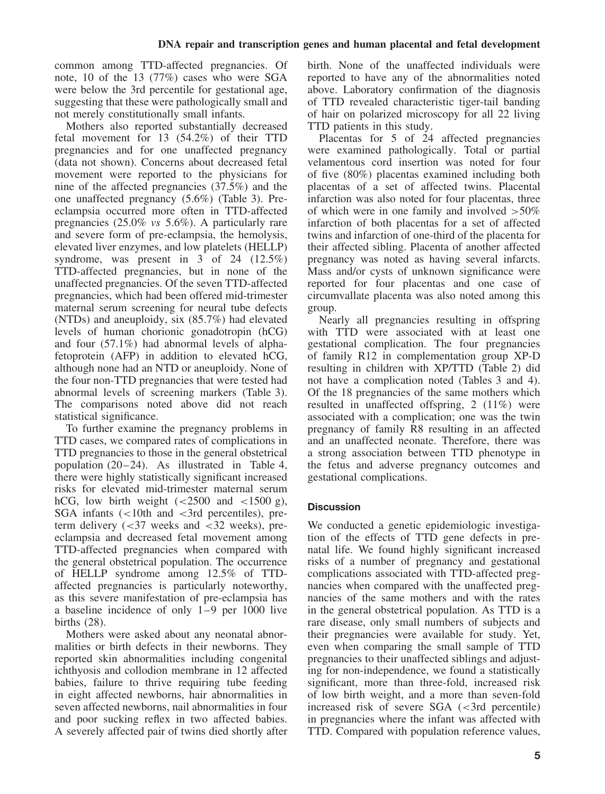common among TTD-affected pregnancies. Of note, 10 of the 13 (77%) cases who were SGA were below the 3rd percentile for gestational age, suggesting that these were pathologically small and not merely constitutionally small infants.

Mothers also reported substantially decreased fetal movement for 13 (54.2%) of their TTD pregnancies and for one unaffected pregnancy (data not shown). Concerns about decreased fetal movement were reported to the physicians for nine of the affected pregnancies (37.5%) and the one unaffected pregnancy (5.6%) (Table 3). Preeclampsia occurred more often in TTD-affected pregnancies (25.0% *vs* 5.6%). A particularly rare and severe form of pre-eclampsia, the hemolysis, elevated liver enzymes, and low platelets (HELLP) syndrome, was present in 3 of 24 (12.5%) TTD-affected pregnancies, but in none of the unaffected pregnancies. Of the seven TTD-affected pregnancies, which had been offered mid-trimester maternal serum screening for neural tube defects (NTDs) and aneuploidy, six (85.7%) had elevated levels of human chorionic gonadotropin (hCG) and four (57.1%) had abnormal levels of alphafetoprotein (AFP) in addition to elevated hCG, although none had an NTD or aneuploidy. None of the four non-TTD pregnancies that were tested had abnormal levels of screening markers (Table 3). The comparisons noted above did not reach statistical significance.

To further examine the pregnancy problems in TTD cases, we compared rates of complications in TTD pregnancies to those in the general obstetrical population (20–24). As illustrated in Table 4, there were highly statistically significant increased risks for elevated mid-trimester maternal serum hCG, low birth weight (*<*2500 and *<*1500 g), SGA infants (*<*10th and *<*3rd percentiles), preterm delivery (*<*37 weeks and *<*32 weeks), preeclampsia and decreased fetal movement among TTD-affected pregnancies when compared with the general obstetrical population. The occurrence of HELLP syndrome among 12.5% of TTDaffected pregnancies is particularly noteworthy, as this severe manifestation of pre-eclampsia has a baseline incidence of only 1–9 per 1000 live births (28).

Mothers were asked about any neonatal abnormalities or birth defects in their newborns. They reported skin abnormalities including congenital ichthyosis and collodion membrane in 12 affected babies, failure to thrive requiring tube feeding in eight affected newborns, hair abnormalities in seven affected newborns, nail abnormalities in four and poor sucking reflex in two affected babies. A severely affected pair of twins died shortly after

birth. None of the unaffected individuals were reported to have any of the abnormalities noted above. Laboratory confirmation of the diagnosis of TTD revealed characteristic tiger-tail banding of hair on polarized microscopy for all 22 living TTD patients in this study.

Placentas for 5 of 24 affected pregnancies were examined pathologically. Total or partial velamentous cord insertion was noted for four of five (80%) placentas examined including both placentas of a set of affected twins. Placental infarction was also noted for four placentas, three of which were in one family and involved *>*50% infarction of both placentas for a set of affected twins and infarction of one-third of the placenta for their affected sibling. Placenta of another affected pregnancy was noted as having several infarcts. Mass and/or cysts of unknown significance were reported for four placentas and one case of circumvallate placenta was also noted among this group.

Nearly all pregnancies resulting in offspring with TTD were associated with at least one gestational complication. The four pregnancies of family R12 in complementation group XP-D resulting in children with XP/TTD (Table 2) did not have a complication noted (Tables 3 and 4). Of the 18 pregnancies of the same mothers which resulted in unaffected offspring, 2 (11%) were associated with a complication; one was the twin pregnancy of family R8 resulting in an affected and an unaffected neonate. Therefore, there was a strong association between TTD phenotype in the fetus and adverse pregnancy outcomes and gestational complications.

## **Discussion**

We conducted a genetic epidemiologic investigation of the effects of TTD gene defects in prenatal life. We found highly significant increased risks of a number of pregnancy and gestational complications associated with TTD-affected pregnancies when compared with the unaffected pregnancies of the same mothers and with the rates in the general obstetrical population. As TTD is a rare disease, only small numbers of subjects and their pregnancies were available for study. Yet, even when comparing the small sample of TTD pregnancies to their unaffected siblings and adjusting for non-independence, we found a statistically significant, more than three-fold, increased risk of low birth weight, and a more than seven-fold increased risk of severe SGA (*<*3rd percentile) in pregnancies where the infant was affected with TTD. Compared with population reference values,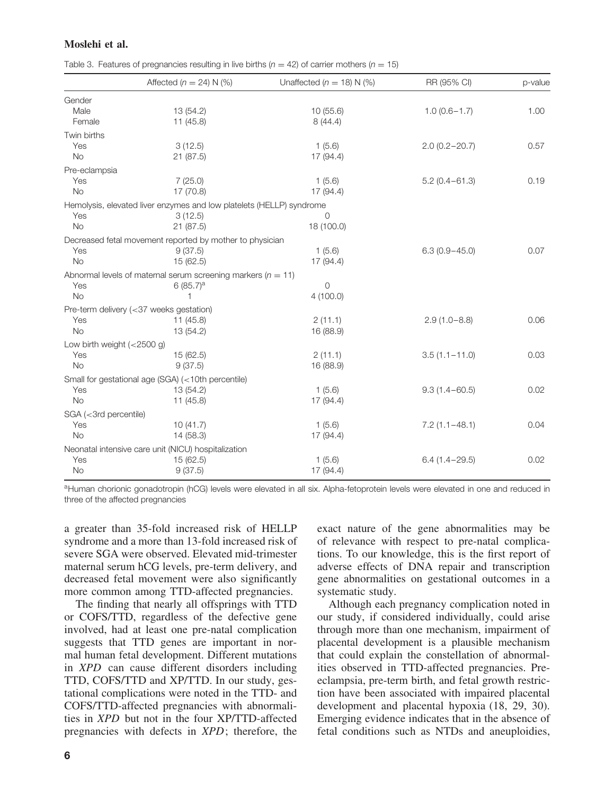| Table 3. Features of pregnancies resulting in live births ( $n = 42$ ) of carrier mothers ( $n = 15$ ) |  |  |
|--------------------------------------------------------------------------------------------------------|--|--|
|--------------------------------------------------------------------------------------------------------|--|--|

|                              | Affected $(n = 24)$ N $(\%)$                                         | Unaffected ( $n = 18$ ) N (%) | RR (95% CI)       | p-value |
|------------------------------|----------------------------------------------------------------------|-------------------------------|-------------------|---------|
| Gender                       |                                                                      |                               |                   |         |
| Male                         | 13 (54.2)                                                            | 10(55.6)                      | $1.0(0.6 - 1.7)$  | 1.00    |
| Female                       | 11 (45.8)                                                            | 8(44.4)                       |                   |         |
| Twin births                  |                                                                      |                               |                   |         |
| Yes                          | 3(12.5)                                                              | 1(5.6)                        | $2.0(0.2 - 20.7)$ | 0.57    |
| <b>No</b>                    | 21 (87.5)                                                            | 17(94.4)                      |                   |         |
| Pre-eclampsia                |                                                                      |                               |                   |         |
| Yes                          | 7(25.0)                                                              | 1(5.6)                        | $5.2(0.4 - 61.3)$ | 0.19    |
| <b>No</b>                    | 17 (70.8)                                                            | 17 (94.4)                     |                   |         |
|                              | Hemolysis, elevated liver enzymes and low platelets (HELLP) syndrome |                               |                   |         |
| Yes                          | 3(12.5)                                                              | $\mathbf{0}$                  |                   |         |
| <b>No</b>                    | 21 (87.5)                                                            | 18 (100.0)                    |                   |         |
|                              | Decreased fetal movement reported by mother to physician             |                               |                   |         |
| Yes                          | 9(37.5)                                                              | 1(5.6)                        | $6.3(0.9 - 45.0)$ | 0.07    |
| <b>No</b>                    | 15 (62.5)                                                            | 17 (94.4)                     |                   |         |
|                              | Abnormal levels of maternal serum screening markers ( $n = 11$ )     |                               |                   |         |
| Yes                          | $6(85.7)^a$                                                          | $\mathcal{O}$                 |                   |         |
| <b>No</b>                    |                                                                      | 4(100.0)                      |                   |         |
|                              | Pre-term delivery (<37 weeks gestation)                              |                               |                   |         |
| Yes                          | 11(45.8)                                                             | 2(11.1)                       | $2.9(1.0 - 8.8)$  | 0.06    |
| <b>No</b>                    | 13 (54.2)                                                            | 16 (88.9)                     |                   |         |
| Low birth weight $(<2500 g)$ |                                                                      |                               |                   |         |
| Yes                          | 15 (62.5)                                                            | 2(11.1)                       | $3.5(1.1 - 11.0)$ | 0.03    |
| <b>No</b>                    | 9(37.5)                                                              | 16 (88.9)                     |                   |         |
|                              | Small for gestational age (SGA) (<10th percentile)                   |                               |                   |         |
| Yes                          | 13 (54.2)                                                            | 1(5.6)                        | $9.3(1.4 - 60.5)$ | 0.02    |
| <b>No</b>                    | 11(45.8)                                                             | 17 (94.4)                     |                   |         |
| SGA (<3rd percentile)        |                                                                      |                               |                   |         |
| Yes                          | 10(41.7)                                                             | 1(5.6)                        | $7.2(1.1 - 48.1)$ | 0.04    |
| <b>No</b>                    | 14 (58.3)                                                            | 17 (94.4)                     |                   |         |
|                              | Neonatal intensive care unit (NICU) hospitalization                  |                               |                   |         |
| Yes                          | 15 (62.5)                                                            | 1(5.6)                        | $6.4(1.4-29.5)$   | 0.02    |
| <b>No</b>                    | 9(37.5)                                                              | 17 (94.4)                     |                   |         |

aHuman chorionic gonadotropin (hCG) levels were elevated in all six. Alpha-fetoprotein levels were elevated in one and reduced in three of the affected pregnancies

a greater than 35-fold increased risk of HELLP syndrome and a more than 13-fold increased risk of severe SGA were observed. Elevated mid-trimester maternal serum hCG levels, pre-term delivery, and decreased fetal movement were also significantly more common among TTD-affected pregnancies.

The finding that nearly all offsprings with TTD or COFS/TTD, regardless of the defective gene involved, had at least one pre-natal complication suggests that TTD genes are important in normal human fetal development. Different mutations in *XPD* can cause different disorders including TTD, COFS/TTD and XP/TTD. In our study, gestational complications were noted in the TTD- and COFS/TTD-affected pregnancies with abnormalities in *XPD* but not in the four XP/TTD-affected pregnancies with defects in *XPD*; therefore, the exact nature of the gene abnormalities may be of relevance with respect to pre-natal complications. To our knowledge, this is the first report of adverse effects of DNA repair and transcription gene abnormalities on gestational outcomes in a systematic study.

Although each pregnancy complication noted in our study, if considered individually, could arise through more than one mechanism, impairment of placental development is a plausible mechanism that could explain the constellation of abnormalities observed in TTD-affected pregnancies. Preeclampsia, pre-term birth, and fetal growth restriction have been associated with impaired placental development and placental hypoxia (18, 29, 30). Emerging evidence indicates that in the absence of fetal conditions such as NTDs and aneuploidies,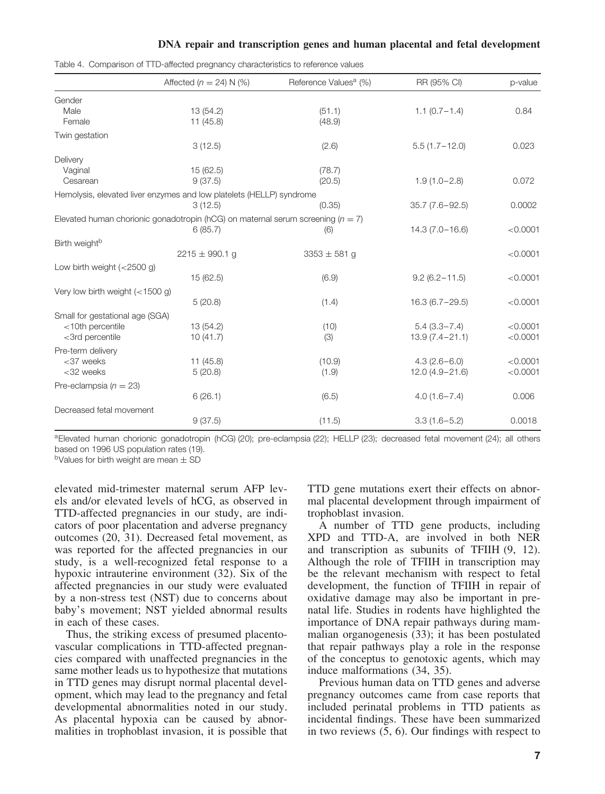### **DNA repair and transcription genes and human placental and fetal development**

|                                 | Affected ( $n = 24$ ) N (%)                                                         | Reference Values <sup>a</sup> (%) | RR (95% CI)        | p-value  |
|---------------------------------|-------------------------------------------------------------------------------------|-----------------------------------|--------------------|----------|
| Gender                          |                                                                                     |                                   |                    |          |
| Male                            | 13 (54.2)                                                                           | (51.1)                            | $1.1 (0.7 - 1.4)$  | 0.84     |
| Female                          | 11(45.8)                                                                            | (48.9)                            |                    |          |
| Twin gestation                  |                                                                                     |                                   |                    |          |
|                                 | 3(12.5)                                                                             | (2.6)                             | $5.5(1.7 - 12.0)$  | 0.023    |
| Delivery                        |                                                                                     |                                   |                    |          |
| Vaginal                         | 15 (62.5)                                                                           | (78.7)                            |                    |          |
| Cesarean                        | 9(37.5)                                                                             | (20.5)                            | $1.9(1.0 - 2.8)$   | 0.072    |
|                                 | Hemolysis, elevated liver enzymes and low platelets (HELLP) syndrome                |                                   |                    |          |
|                                 | 3(12.5)                                                                             | (0.35)                            | 35.7 (7.6-92.5)    | 0.0002   |
|                                 | Elevated human chorionic gonadotropin (hCG) on maternal serum screening ( $n = 7$ ) |                                   |                    |          |
|                                 | 6(85.7)                                                                             | (6)                               | $14.3(7.0 - 16.6)$ | < 0.0001 |
| Birth weightb                   |                                                                                     |                                   |                    |          |
|                                 | $2215 \pm 990.1$ g                                                                  | $3353 \pm 581$ g                  |                    | < 0.0001 |
| Low birth weight $(<2500 g)$    |                                                                                     |                                   |                    |          |
|                                 | 15(62.5)                                                                            | (6.9)                             | $9.2(6.2 - 11.5)$  | < 0.0001 |
| Very low birth weight (<1500 g) |                                                                                     |                                   |                    |          |
|                                 | 5(20.8)                                                                             | (1.4)                             | $16.3(6.7-29.5)$   | < 0.0001 |
| Small for gestational age (SGA) |                                                                                     |                                   |                    |          |
| <10th percentile                | 13(54.2)                                                                            | (10)                              | $5.4(3.3 - 7.4)$   | < 0.0001 |
| <3rd percentile                 | 10(41.7)                                                                            | (3)                               | $13.9(7.4 - 21.1)$ | < 0.0001 |
| Pre-term delivery               |                                                                                     |                                   |                    |          |
| $<$ 37 weeks                    | 11 (45.8)                                                                           | (10.9)                            | $4.3(2.6 - 6.0)$   | < 0.0001 |
| $<$ 32 weeks                    | 5(20.8)                                                                             | (1.9)                             | $12.0(4.9 - 21.6)$ | < 0.0001 |
| Pre-eclampsia ( $n = 23$ )      |                                                                                     |                                   |                    |          |
|                                 | 6(26.1)                                                                             | (6.5)                             | $4.0(1.6 - 7.4)$   | 0.006    |
| Decreased fetal movement        |                                                                                     |                                   |                    |          |
|                                 | 9(37.5)                                                                             | (11.5)                            | $3.3(1.6 - 5.2)$   | 0.0018   |
|                                 |                                                                                     |                                   |                    |          |

Table 4. Comparison of TTD-affected pregnancy characteristics to reference values

aElevated human chorionic gonadotropin (hCG) (20); pre-eclampsia (22); HELLP (23); decreased fetal movement (24); all others based on 1996 US population rates (19).

 $b$ Values for birth weight are mean  $\pm$  SD

elevated mid-trimester maternal serum AFP levels and/or elevated levels of hCG, as observed in TTD-affected pregnancies in our study, are indicators of poor placentation and adverse pregnancy outcomes (20, 31). Decreased fetal movement, as was reported for the affected pregnancies in our study, is a well-recognized fetal response to a hypoxic intrauterine environment (32). Six of the affected pregnancies in our study were evaluated by a non-stress test (NST) due to concerns about baby's movement; NST yielded abnormal results in each of these cases.

Thus, the striking excess of presumed placentovascular complications in TTD-affected pregnancies compared with unaffected pregnancies in the same mother leads us to hypothesize that mutations in TTD genes may disrupt normal placental development, which may lead to the pregnancy and fetal developmental abnormalities noted in our study. As placental hypoxia can be caused by abnormalities in trophoblast invasion, it is possible that

TTD gene mutations exert their effects on abnormal placental development through impairment of trophoblast invasion.

A number of TTD gene products, including XPD and TTD-A, are involved in both NER and transcription as subunits of TFIIH (9, 12). Although the role of TFIIH in transcription may be the relevant mechanism with respect to fetal development, the function of TFIIH in repair of oxidative damage may also be important in prenatal life. Studies in rodents have highlighted the importance of DNA repair pathways during mammalian organogenesis (33); it has been postulated that repair pathways play a role in the response of the conceptus to genotoxic agents, which may induce malformations (34, 35).

Previous human data on TTD genes and adverse pregnancy outcomes came from case reports that included perinatal problems in TTD patients as incidental findings. These have been summarized in two reviews (5, 6). Our findings with respect to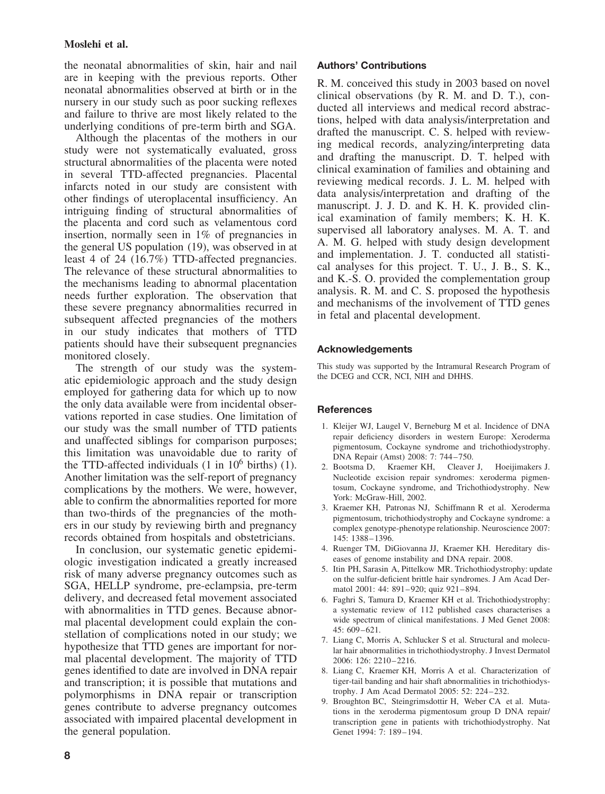the neonatal abnormalities of skin, hair and nail are in keeping with the previous reports. Other neonatal abnormalities observed at birth or in the nursery in our study such as poor sucking reflexes and failure to thrive are most likely related to the underlying conditions of pre-term birth and SGA.

Although the placentas of the mothers in our study were not systematically evaluated, gross structural abnormalities of the placenta were noted in several TTD-affected pregnancies. Placental infarcts noted in our study are consistent with other findings of uteroplacental insufficiency. An intriguing finding of structural abnormalities of the placenta and cord such as velamentous cord insertion, normally seen in  $1\%$  of pregnancies in the general US population (19), was observed in at least 4 of 24 (16.7%) TTD-affected pregnancies. The relevance of these structural abnormalities to the mechanisms leading to abnormal placentation needs further exploration. The observation that these severe pregnancy abnormalities recurred in subsequent affected pregnancies of the mothers in our study indicates that mothers of TTD patients should have their subsequent pregnancies monitored closely.

The strength of our study was the systematic epidemiologic approach and the study design employed for gathering data for which up to now the only data available were from incidental observations reported in case studies. One limitation of our study was the small number of TTD patients and unaffected siblings for comparison purposes; this limitation was unavoidable due to rarity of the TTD-affected individuals  $(1 \text{ in } 10^6 \text{ births})$   $(1)$ . Another limitation was the self-report of pregnancy complications by the mothers. We were, however, able to confirm the abnormalities reported for more than two-thirds of the pregnancies of the mothers in our study by reviewing birth and pregnancy records obtained from hospitals and obstetricians.

In conclusion, our systematic genetic epidemiologic investigation indicated a greatly increased risk of many adverse pregnancy outcomes such as SGA, HELLP syndrome, pre-eclampsia, pre-term delivery, and decreased fetal movement associated with abnormalities in TTD genes. Because abnormal placental development could explain the constellation of complications noted in our study; we hypothesize that TTD genes are important for normal placental development. The majority of TTD genes identified to date are involved in DNA repair and transcription; it is possible that mutations and polymorphisms in DNA repair or transcription genes contribute to adverse pregnancy outcomes associated with impaired placental development in the general population.

## **Authors' Contributions**

R. M. conceived this study in 2003 based on novel clinical observations (by R. M. and D. T.), conducted all interviews and medical record abstractions, helped with data analysis/interpretation and drafted the manuscript. C. S. helped with reviewing medical records, analyzing/interpreting data and drafting the manuscript. D. T. helped with clinical examination of families and obtaining and reviewing medical records. J. L. M. helped with data analysis/interpretation and drafting of the manuscript. J. J. D. and K. H. K. provided clinical examination of family members; K. H. K. supervised all laboratory analyses. M. A. T. and A. M. G. helped with study design development and implementation. J. T. conducted all statistical analyses for this project. T. U., J. B., S. K., and K.-S. O. provided the complementation group analysis. R. M. and C. S. proposed the hypothesis and mechanisms of the involvement of TTD genes in fetal and placental development.

## **Acknowledgements**

This study was supported by the Intramural Research Program of the DCEG and CCR, NCI, NIH and DHHS.

## **References**

- 1. Kleijer WJ, Laugel V, Berneburg M et al. Incidence of DNA repair deficiency disorders in western Europe: Xeroderma pigmentosum, Cockayne syndrome and trichothiodystrophy. DNA Repair (Amst) 2008: 7: 744–750.
- 2. Bootsma D, Kraemer KH, Cleaver J, Hoeijimakers J. Nucleotide excision repair syndromes: xeroderma pigmentosum, Cockayne syndrome, and Trichothiodystrophy. New York: McGraw-Hill, 2002.
- 3. Kraemer KH, Patronas NJ, Schiffmann R et al. Xeroderma pigmentosum, trichothiodystrophy and Cockayne syndrome: a complex genotype-phenotype relationship. Neuroscience 2007: 145: 1388–1396.
- 4. Ruenger TM, DiGiovanna JJ, Kraemer KH. Hereditary diseases of genome instability and DNA repair. 2008.
- 5. Itin PH, Sarasin A, Pittelkow MR. Trichothiodystrophy: update on the sulfur-deficient brittle hair syndromes. J Am Acad Dermatol 2001: 44: 891–920; quiz 921–894.
- 6. Faghri S, Tamura D, Kraemer KH et al. Trichothiodystrophy: a systematic review of 112 published cases characterises a wide spectrum of clinical manifestations. J Med Genet 2008: 45: 609–621.
- 7. Liang C, Morris A, Schlucker S et al. Structural and molecular hair abnormalities in trichothiodystrophy. J Invest Dermatol 2006: 126: 2210–2216.
- 8. Liang C, Kraemer KH, Morris A et al. Characterization of tiger-tail banding and hair shaft abnormalities in trichothiodystrophy. J Am Acad Dermatol 2005: 52: 224–232.
- 9. Broughton BC, Steingrimsdottir H, Weber CA et al. Mutations in the xeroderma pigmentosum group D DNA repair/ transcription gene in patients with trichothiodystrophy. Nat Genet 1994: 7: 189–194.